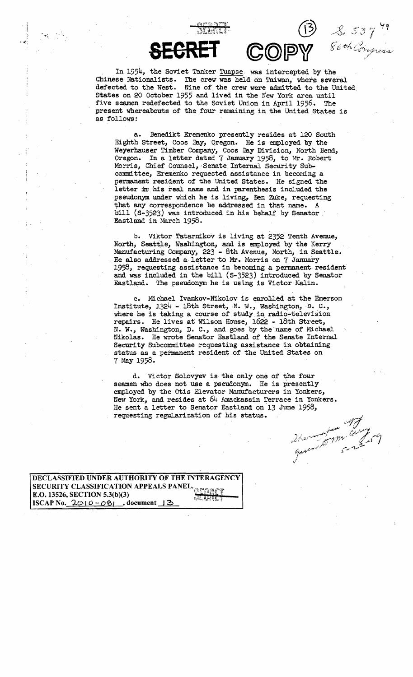In 1954, the Soviet Tanker Tuapse, was intercepted by the Chinese Nationalists. The *crew* was held on Taiwan, where several defected to the West. Nine of the crew were admitted to the United. States on 20 October 1955 and lived in the New York area until five seamen redefected to the Soviet Union in April 1956. The present whereabouts of the four remaining in the United States is as follows:

COP

**BEGREl'** 

Benedikt Eremenko presently resides at 120 South Eighth Street, Coos Bay, Qregon. He is employed by the a. Weyerhauser Timber Company, Coos Bay Division, North Bend, Oregon. In a letter dated 7 January 1958, to Mr. Robert Morris, Chief Counsel, Senate Internal Security Subcomm1ttee, Eremenko requested assistance in becoming a permanent resident of the United States. He signed the letter in his real name and in parenthesis included the pseudonym under which he is living, Ben Zuke, requesting that any correspondence be addressed in that name. A bill  $(S-3523)$  was introduced in his behalf by Senator. Eastland in March 1958.

b. Viktor Tatarnikov is living at 2352 Tenth Avenue, North, Seattle, Washington, and is employed by the Kerry Manufacturing Company, 223 - 8th Avenue, North, in Seattle. He also addressed a letter to Mr. Morris on 7 January 1958, requesting assistance in becoming a permanent resident' and was included in the bill (S-3523) introduced by Senator Eastland. The pseudonym he is using is Victor Kalin.

c. Michael Ivankov-Nikolov is enrolled at the Emerson Institute,  $1324 - 18$ th Street, N. W., Washington, D. C., where he is taking a course of study in radio-television repairs. He lives at Wilson House, 1622 - 18th Street, N. W., Washington, D. C., and goes by the name of Michael Nikolas. He wrote Senator Eastland of the Senate Internal Security SUbcommittee requesting assistance in obtaining status as a permanent resident of the United states on 7 May 1958.

d. Victor Solovyev is the only one of the four seamen who does not use a pseudonym. He is presently employed by the Otis Elevator Manufacturers in Yonkers, New York, and resides at 64 Amackassin Terrace in Yonkers. He sent a letter to Senator Eastland on 13 June 1958, requesting regularization of his status.

2har for any

) & 537 49

DECLASSIFIED UNDER AUTHORITY OF THE INTERAGENCY SECURITY CLASSIFICATION APPEALS PANEL.<br>E.O. 13526, SECTION 5.3(b)(3) ISCAP No. 2010-081, document 13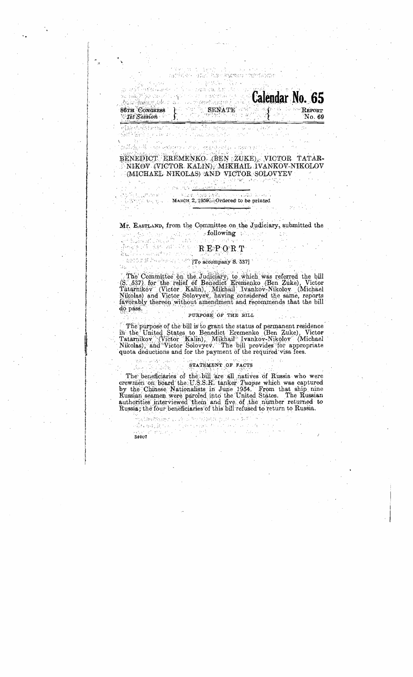## BENEDICT EREMENKO (BEN ZUKE), VICTOR TATAR-NIKOV (VICTOR KALIN), MIKHAIL IVANKOV-NIKOLOV (MICHAEL NIKOLAS) AND VICTOR SOLOVYEV

新闻的社会学习中的人, 地方就可以对方的工具 CEO的 生活应用 (2000)

**Calendar No. 65** 

าระ พระอังนิเมีย เรียก คุร

RES BALL MERCHAND 20분 : 2010년<br>대한민국의 대학

86TH CONGRESS SENATE

ให้ได้เป็นชั้นชั้นส่วนสำนัก ก็ไป ก็ไป เป็นเป็นสำนักให้เป็นชุดอยู่เหล่า นายตั้งแบบ ลูกันเป็น<br>นั่งสี่มีปรับได้เป็นรูป เล็ด หลัง ( บาร์ มาโรงเมาไลยยังเหล่า) - เป็นปา

## Mr. EASTLAND, from the Committee on the Judiciary, submitted the

# 

 $\mathcal{L}_{\mathcal{L}_{\mathcal{L}}} = \left\{ \mathcal{L}_{\mathcal{L}_{\mathcal{L}}} \left( \mathcal{L}_{\mathcal{L}_{\mathcal{L}}} \right) \in \mathcal{L}_{\mathcal{L}_{\mathcal{L}}} \right\} \cap \left\{ \mathcal{L}_{\mathcal{L}_{\mathcal{L}}} \right\} \cap \left\{ \mathcal{L}_{\mathcal{L}_{\mathcal{L}}} \right\} \cap \left\{ \mathcal{L}_{\mathcal{L}_{\mathcal{L}}} \right\} \cap \left\{ \mathcal{L}_{\mathcal{L}_{\mathcal{L}}} \right\}$ 

ويها بالمتك

# BEFORE PRESERVE THE RECOMPANY S. 5371

3 album

tas est

Albert State Bank (1989)<br>1989 State Bank (1989) - Mangin 2, 1959 Cordered to be printed

The Committee on the Judiciary, to which was referred the bill<br>(S. 537) for the relief of Benedict Eremenko (Ben Zuke), Victor<br>Tatarnikov (Victor Kalin), Mikhail Ivankov-Nikolov (Michael<br>Nikolas) and Victor Solovyev, havin do pass.

#### PURPOSE OF THE BILL

The purpose of the bill is to grant the status of permanent residence in the United States to Benedict Eremenko (Ben Zuke), Victor Tatarnikov (Victor Kalin), Mikhail Ivankov-Nikolov (Michael Nikolas), and Victor Solovyev. The bill provides for appropriate quota deductions and for the payment of the required visa fees.

#### STATEMENT OF FACTS

The beneficiaries of the bill are all natives of Russia who were<br>crewmen on board the U.S.S.R. tanker *Tuapse* which was captured<br>by the Chinese Nationalists in June 1954. From that ship nine Russian seamen were paroled into the United States. The Russian<br>authorities interviewed them and five of the number returned to Russia; the four beneficiaries of this bill refused to return to Russia.

电无线线电线线 正正化 计命令程序错误 化反相 以以本质的 Provincia de 140  $\geq \frac{1}{2\sqrt{3}}\sqrt{3}+\frac{1}{2}\sqrt{3}\sqrt{3}\sqrt{3}\sqrt{3}+\frac{1}{2}\sqrt{3}+\frac{1}{2}\sqrt{3}+\frac{1}{2}\sqrt{3}+\frac{1}{2}\sqrt{3}+\frac{1}{2}\sqrt{3}+\frac{1}{2}\sqrt{3}+\frac{1}{2}\sqrt{3}+\frac{1}{2}\sqrt{3}+\frac{1}{2}\sqrt{3}+\frac{1}{2}\sqrt{3}+\frac{1}{2}\sqrt{3}+\frac{1}{2}\sqrt{3}+\frac{1}{2}\sqrt{3}+\frac{1}{2}\sqrt{3}+\frac{1}{2}\sqrt{3}+\frac{1}{2}\sqrt{3}+\frac$  $\sim 10^{-1}$  HeV in Barbar at equalis 34007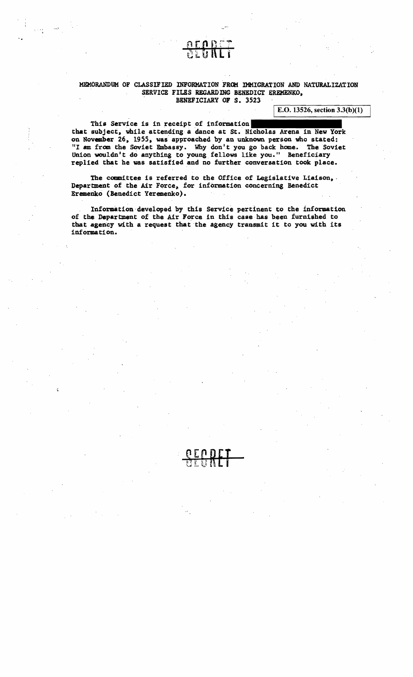#### MEMORANDUM OF CLASSIFIED INFORMATION FROM IMMIGRATION AND NATURALIZATION SERVICE FILES REGARDING BENEDICT EREMENKO, , BENEFICIARY OF S. 3523

E.O. 13526, section  $3.3(b)(1)$ 

This Service is in receipt of information that subject, while attending a dance at St. Nicholas Arena in New York on November 26, 1955, was approached by an unknown person who stated:<br>"I am from the Soviet Embassy. Why don't you go back home. The Soviet Union wouldn't do anything to young fellows like you." Beneficiary replied that he was satisfied and no further conversation took place.

The committee is referred to the Office of Legislative Liaison, Department of the Air Force, for information concerning Benedict Eremeriko (Benedict Yeremenlco).

Information developed by this Service pertinent to the information of the Department of the Air Force in this case has been furnished to that agency with a request that the agency transmit it to you with its information.

StGRLI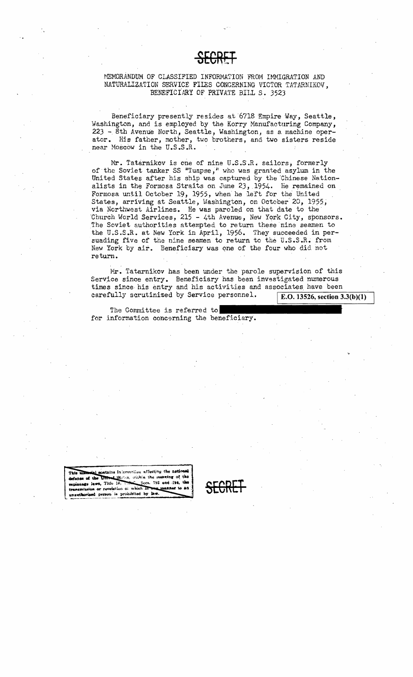#### MEMORANDUM OF CLASSIFIED INFORMATION FROM IMMIGRATION AND NATURALIZATION SERVICE FILES CONCERNING VICTOR TATARNIKOV, BENEFICIARY OF PRIVATE BILL S. 3523

Beneficiary presently resides at 6718 Empire Way, Seattle, Washington, and is employed by the Korry Manufacturing Company, 223 - 8th Avenue North, Seattle, Washington, as a machine operator. His father, mother, two brothers, and two sisters reside near Moscow in the U.S.S.R.

Mr. Tatarnikov is one of nine U.S.S.R. sailors, formerly of the Soviet tanker SS "Tuapse," who was granted asylum in the United States after his ship was captured by the Chinese Nationalists in the Formosa Straits on June 23, 1954. He remained on Formosa until October 19, 1955, when he left for the United States, arriving at Seattle, Washington, on October 20, 1955, via Northwest Airlines. He was paroled on that date to the Church World Services, 215 - 4th Avenue, New York City, sponsors. The Soviet authorities attempted to return these nine seamen to the U.S.S.R. at New York in April, 1956. They succeeded in persuading five of the nine seamen to return to the U.S.S.R. from New York by air. Beneficiary was one of the four who did not return.

Mr. Tatarnikov has been under the parole supervision of this Service since entry. Beneficiary has been investigated numerous times since his entry and his activities and associates have been carefully scrutinized by Service personnel. E.O. 13526, section  $3.3(b)(1)$ 

The Committee is referred to for information concerning the beneficiary.

This missessied contains information affecting the national defense of the United States, within the meeting of the espienage laws, Title 18, C. Soco, 793 and 794, the transmission or revelstion of which in the manner to an unawthorized person is probibited by law.

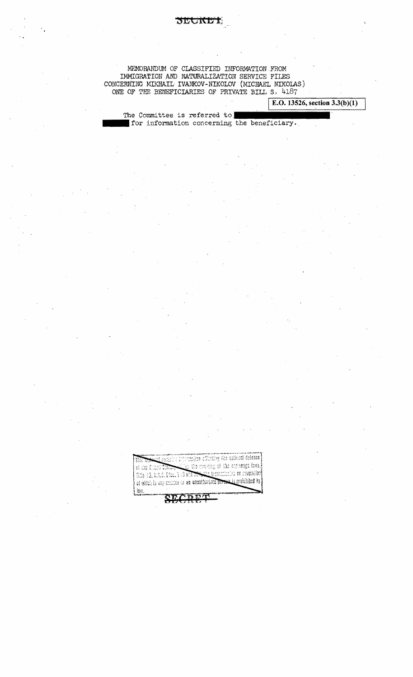## MEMORANDUM OF CLASSIFIED INFORMATION FROM IMMIGRATION AND NATURALIZATION SERVICE FILES CONCERNING MIKHAIL IVANKOV-NIKOLOV (MICHAEL NIKOLAS)

DECIVE

ONE OF THE BENEFICIARIES OF PRIVATE BILL S. 4187

E.O. 13526, section  $3.3(b)(1)$ 

The Committee is referred to for information concerning the beneficiary.

of which in any chance to an unnathorized person is prohibited by

HW

 $\left\{ \begin{matrix} \mathbf{u}_{11} \\ \mathbf{u}_{12} \end{matrix} \right\}$ 

of the full of Change

This id, and a Sout 1 of a ball robe

<u>leadedre information affonting the sational delense </u>

 $\mathbb{R}_2$  the morning of the espinange favor,

<u>abs Basonicciae</u> or revolution<mark>i</mark>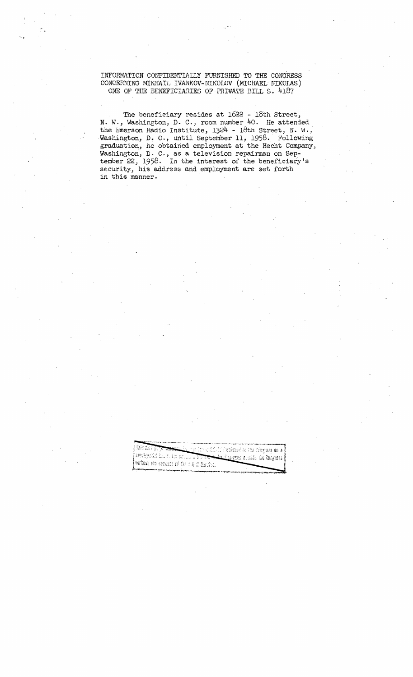INFORMATION CONFIDENTIALLY FURNISHED TO THE CONGRESS CONCERNING MIKHAIL IVANKOV-NIKOLOV (MICHAEL NIKOIAS) ONE OF THE BENEFICIARIES OF PRIVATE BILL S. 4187

The beneficiary resides at 1622 - 18th Street, N. W., Washington, D. C., room number 40. He attended the Emerson Radio Institute, 1324 - 18th Street, N. H. J' Washington, D. C., until September 11, 1958. Following graduation, he obtained employment at the Hecht Company, Washington, D. C., as a television repairman on September 22, 1958. In the interest of the beneficiary's security, his address and employment are set forth in this manner.

> This date page <u>di mas litt shifti it i herrished so the Bringhess on a</u> certification facts, its community <u>An Chaissed</u> actories the Degress without the seasont of the 1 K d Service."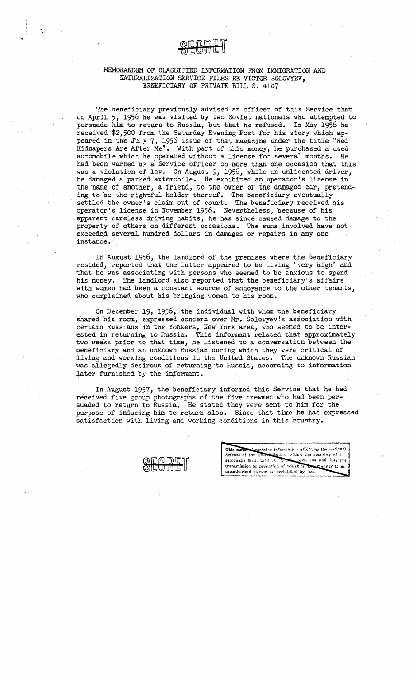

The beneficiary previously advised an officer of this Service that on April 5, 1956 he was visited by two Soviet nationals who attempted to persuade. him to return to Russia, but that he refused. In May 1956 he received \$2,500 from the Saturday Evening Post for his story which appeared in the July 7, 1956 issue of that magazine under the title "Red Kidnapers Are After Me". With part of this money, he purchased a used automobile which he operated without a license for several months. He had been warned by a Service officer on more than one occasion that this was a violation of law. On August 9, 1956, while an unlicensed driver, he damaged a parked automobile. He exhibited an operator's license in the name of another, a friend, to the owner of the damaged car, pretending to be the rightful holder thereof. The beneficiary eventually settled the owner's claim out of court. The beneficiary received his operator's license in November 1956. Nevertheless, because of his . apparent careless driving habits, he has since caused damage to the property of others on different occasions. The sums involved have not exceeded several hundred dollars in damages or repairs in any one instance. .

In August 1956, the landlord of the premises where the beneficiary resided, reported that the latter appeared to be living "very high" and that he was associating with persons who seemed to be anxious to spend his money. The landlord also reported that the beneficiary's affairs with women had been a constant source of annoyance to the other tenants, who complained' about his bringing women to his room.

On 'December 19, 1956, the individual with wham the beneficiary shared his room, expressed concern over Mr. Solovyev's association with certain Russians in the Yonkers, New' York area, who seemed to be interested in returning to Russia. This informant related that approximately two weeks prior to that time, he listened to a conversation between the beneficiary and an unknown Russian during which they were critical of living and working conditions in the United States. The unknown Russian was allegedly desirous of returning·to RUSSia, according to information later furnished by the informant.

In August 1957, the beneficiary informed this Service that he had received five group photographs of the five crewmen who had been persuaded to return to Russia. He stated they were sent to him for the purpose of inducing him to return also. Since that time he has expressed satisfaction with living and working conditions in this country.

This material contains information affecting the national : defense of the United States, within the meaning of the ession are the Section of the estimate of the estimate espionage laws, *Title 18, Unori* transmission or revelation of which in any manner to enunauthorized person is prohibited by law.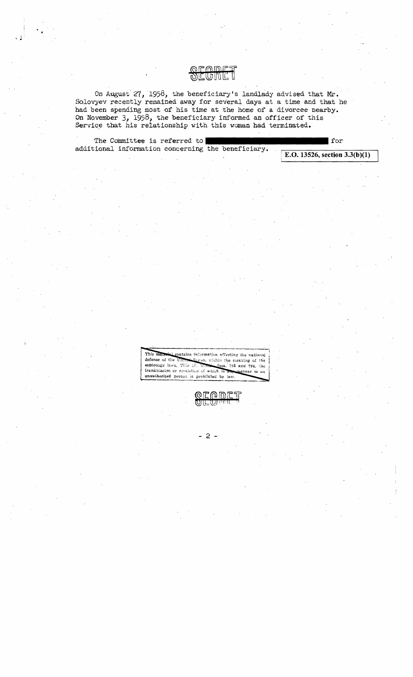On August 27, 1958, the beneficiary's landlady advised that Mr. Solovyev recently remained away for several days at a time and that he had been spending most of his time at the home of a divorcee nearby. On November 3, 1958, the beneficiary informed an officer of this Service that his relationship with this woman had terminated.

**OFODET** 

The Committee is referred to additional information concerning the beneficiary.

| for E.O. 13526, section  $3.3(b)(1)$ 

This material contains information affecting the national defense of the Shates, within the meaning of the espionage laws, Title 18. Secs. 793 and 794, the transmission or revelation of which in any anner to an unauthorized person is prohibited by law.

> $w \boxplus E$ ٦٢

> > $-2-$